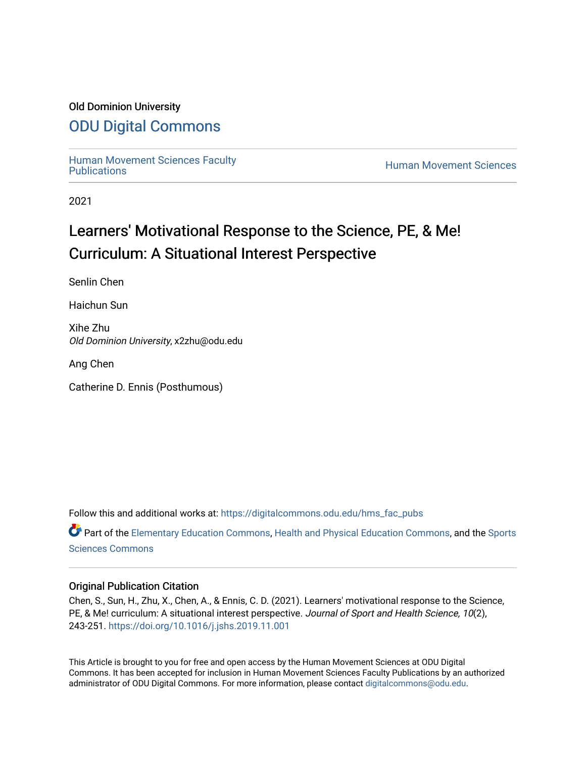### Old Dominion University

## [ODU Digital Commons](https://digitalcommons.odu.edu/)

[Human Movement Sciences Faculty](https://digitalcommons.odu.edu/hms_fac_pubs)<br>Publications

**Human Movement Sciences** 

2021

# Learners' Motivational Response to the Science, PE, & Me! Curriculum: A Situational Interest Perspective

Senlin Chen

Haichun Sun

Xihe Zhu Old Dominion University, x2zhu@odu.edu

Ang Chen

Catherine D. Ennis (Posthumous)

Follow this and additional works at: [https://digitalcommons.odu.edu/hms\\_fac\\_pubs](https://digitalcommons.odu.edu/hms_fac_pubs?utm_source=digitalcommons.odu.edu%2Fhms_fac_pubs%2F100&utm_medium=PDF&utm_campaign=PDFCoverPages) 

Part of the [Elementary Education Commons,](http://network.bepress.com/hgg/discipline/1378?utm_source=digitalcommons.odu.edu%2Fhms_fac_pubs%2F100&utm_medium=PDF&utm_campaign=PDFCoverPages) [Health and Physical Education Commons](http://network.bepress.com/hgg/discipline/1327?utm_source=digitalcommons.odu.edu%2Fhms_fac_pubs%2F100&utm_medium=PDF&utm_campaign=PDFCoverPages), and the [Sports](http://network.bepress.com/hgg/discipline/759?utm_source=digitalcommons.odu.edu%2Fhms_fac_pubs%2F100&utm_medium=PDF&utm_campaign=PDFCoverPages)  [Sciences Commons](http://network.bepress.com/hgg/discipline/759?utm_source=digitalcommons.odu.edu%2Fhms_fac_pubs%2F100&utm_medium=PDF&utm_campaign=PDFCoverPages) 

### Original Publication Citation

Chen, S., Sun, H., Zhu, X., Chen, A., & Ennis, C. D. (2021). Learners' motivational response to the Science, PE, & Me! curriculum: A situational interest perspective. Journal of Sport and Health Science, 10(2), 243-251. <https://doi.org/10.1016/j.jshs.2019.11.001>

This Article is brought to you for free and open access by the Human Movement Sciences at ODU Digital Commons. It has been accepted for inclusion in Human Movement Sciences Faculty Publications by an authorized administrator of ODU Digital Commons. For more information, please contact [digitalcommons@odu.edu](mailto:digitalcommons@odu.edu).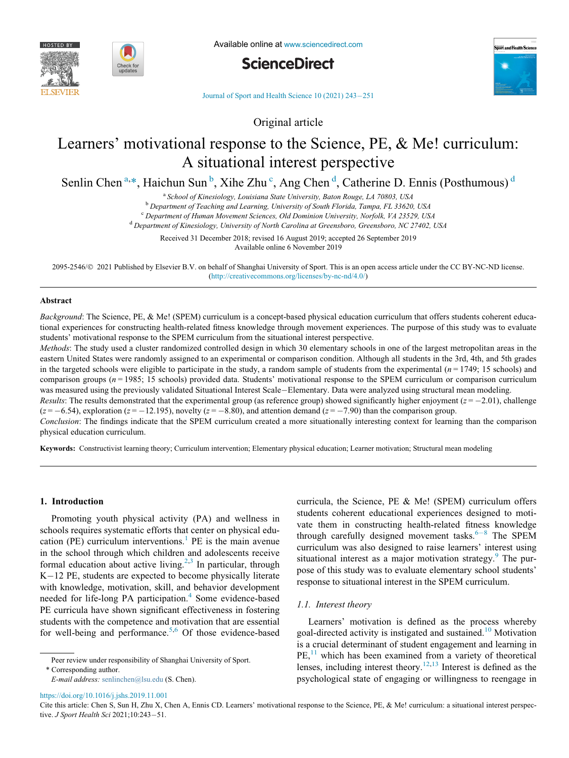



Available online at [www.sciencedirect.com](http://www.sciencedirect.com)





[Journal of Sport and Health Science 10 \(2021\) 243](https://doi.org/)-[251](https://doi.org/)

Original article

## Learners' motivational response to the Science, PE, & Me! curriculum: A situational interest perspective

<span id="page-1-3"></span><span id="page-1-2"></span><span id="page-1-0"></span>Senlin Chen<sup>[a](#page-1-0),[\\*](#page-1-1)</sup>, Haichun Sun<sup>[b](#page-1-2)</sup>, Xihe Zhu<sup>[c](#page-1-3)</sup>, Ang Chen<sup>[d](#page-1-4)</sup>, Catherine D. Ennis (Posthumous)<sup>d</sup>

<sup>a</sup> School of Kinesiology, Louisiana State University, Baton Rouge, LA 70803, USA<br><sup>b</sup> Department of Teaching and Learning, University of South Florida, Tampa, FL 33620, USA<br><sup>c</sup> Department of Human Movement Sciences, Old D

Received 31 December 2018; revised 16 August 2019; accepted 26 September 2019

Available online 6 November 2019

<span id="page-1-4"></span>2095-2546/ 2021 Published by Elsevier B.V. on behalf of Shanghai University of Sport. This is an open access article under the CC BY-NC-ND license. [\(http://creativecommons.org/licenses/by-nc-nd/4.0/\)](http://creativecommons.org/licenses/by-nc-nd/4.0/)

#### Abstract

Background: The Science, PE, & Me! (SPEM) curriculum is a concept-based physical education curriculum that offers students coherent educational experiences for constructing health-related fitness knowledge through movement experiences. The purpose of this study was to evaluate students' motivational response to the SPEM curriculum from the situational interest perspective.

Methods: The study used a cluster randomized controlled design in which 30 elementary schools in one of the largest metropolitan areas in the eastern United States were randomly assigned to an experimental or comparison condition. Although all students in the 3rd, 4th, and 5th grades in the targeted schools were eligible to participate in the study, a random sample of students from the experimental  $(n = 1749; 15 \text{ schools})$  and comparison groups ( $n = 1985$ ; 15 schools) provided data. Students' motivational response to the SPEM curriculum or comparison curriculum was measured using the previously validated Situational Interest Scale–Elementary. Data were analyzed using structural mean modeling.

*Results*: The results demonstrated that the experimental group (as reference group) showed significantly higher enjoyment ( $z = -2.01$ ), challenge  $(z = -6.54)$ , exploration ( $z = -12.195$ ), novelty ( $z = -8.80$ ), and attention demand ( $z = -7.90$ ) than the comparison group.

Conclusion: The findings indicate that the SPEM curriculum created a more situationally interesting context for learning than the comparison physical education curriculum.

Keywords: Constructivist learning theory; Curriculum intervention; Elementary physical education; Learner motivation; Structural mean modeling

#### 1. Introduction

Promoting youth physical activity (PA) and wellness in schools requires systematic efforts that center on physical edu-cation (PE) curriculum interventions.<sup>[1](#page-8-0)</sup> PE is the main avenue in the school through which children and adolescents receive formal education about active living.<sup>[2,](#page-8-1)[3](#page-8-2)</sup> In particular, through  $K-12$  PE, students are expected to become physically literate with knowledge, motivation, skill, and behavior development needed for life-long PA participation.<sup>[4](#page-8-3)</sup> Some evidence-based PE curricula have shown significant effectiveness in fostering students with the competence and motivation that are essential for well-being and performance.<sup>[5,](#page-8-4)[6](#page-8-5)</sup> Of those evidence-based

\* Corresponding author.

E-mail address: [senlinchen@lsu.edu](mailto:senlinchen@lsu.edu) (S. Chen).

curricula, the Science, PE & Me! (SPEM) curriculum offers students coherent educational experiences designed to motivate them in constructing health-related fitness knowledge through carefully designed movement tasks. $6-8$  $6-8$  $6-8$  The SPEM curriculum was also designed to raise learners' interest using situational interest as a major motivation strategy.<sup>[9](#page-8-6)</sup> The purpose of this study was to evaluate elementary school students' response to situational interest in the SPEM curriculum.

#### 1.1. Interest theory

Learners' motivation is defined as the process whereby goal-directed activity is instigated and sustained.[10](#page-8-7) Motivation is a crucial determinant of student engagement and learning in  $PE<sub>11</sub><sup>11</sup>$  $PE<sub>11</sub><sup>11</sup>$  $PE<sub>11</sub><sup>11</sup>$  which has been examined from a variety of theoretical lenses, including interest theory.<sup>[12](#page-9-1),[13](#page-9-2)</sup> Interest is defined as the psychological state of engaging or willingness to reengage in

<span id="page-1-1"></span>Cite this article: Chen S, Sun H, Zhu X, Chen A, Ennis CD. Learners' motivational response to the Science, PE, & Me! curriculum: a situational interest perspec-

<https://doi.org/10.1016/j.jshs.2019.11.001>

Peer review under responsibility of Shanghai University of Sport.

tive. J Sport Health Sci 2021;10:243-51.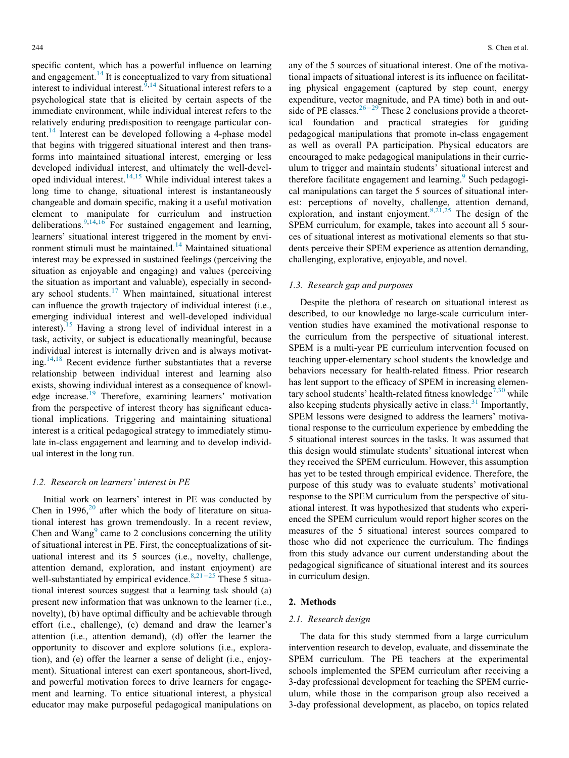specific content, which has a powerful influence on learning and engagement. $^{14}$  $^{14}$  $^{14}$  It is conceptualized to vary from situational interest to individual interest.<sup>[9,](#page-8-6)[14](#page-9-3)</sup> Situational interest refers to a psychological state that is elicited by certain aspects of the immediate environment, while individual interest refers to the relatively enduring predisposition to reengage particular con-tent.<sup>[14](#page-9-3)</sup> Interest can be developed following a 4-phase model that begins with triggered situational interest and then transforms into maintained situational interest, emerging or less developed individual interest, and ultimately the well-developed individual interest.[14](#page-9-3)[,15](#page-9-4) While individual interest takes a long time to change, situational interest is instantaneously changeable and domain specific, making it a useful motivation element to manipulate for curriculum and instruction deliberations.  $9,14,16$  $9,14,16$  $9,14,16$  For sustained engagement and learning, learners' situational interest triggered in the moment by environment stimuli must be maintained.[14](#page-9-3) Maintained situational interest may be expressed in sustained feelings (perceiving the situation as enjoyable and engaging) and values (perceiving the situation as important and valuable), especially in secondary school students. $17$  When maintained, situational interest can influence the growth trajectory of individual interest (i.e., emerging individual interest and well-developed individual interest).[15](#page-9-4) Having a strong level of individual interest in a task, activity, or subject is educationally meaningful, because individual interest is internally driven and is always motivat-ing.<sup>[14](#page-9-3),[18](#page-9-7)</sup> Recent evidence further substantiates that a reverse relationship between individual interest and learning also exists, showing individual interest as a consequence of knowl-edge increase.<sup>[19](#page-9-8)</sup> Therefore, examining learners' motivation from the perspective of interest theory has significant educational implications. Triggering and maintaining situational interest is a critical pedagogical strategy to immediately stimulate in-class engagement and learning and to develop individual interest in the long run.

#### 1.2. Research on learners' interest in PE

Initial work on learners' interest in PE was conducted by Chen in 1996, $^{20}$  $^{20}$  $^{20}$  after which the body of literature on situational interest has grown tremendously. In a recent review, Chen and Wang $<sup>9</sup>$  $<sup>9</sup>$  $<sup>9</sup>$  came to 2 conclusions concerning the utility</sup> of situational interest in PE. First, the conceptualizations of situational interest and its 5 sources (i.e., novelty, challenge, attention demand, exploration, and instant enjoyment) are well-substantiated by empirical evidence.  $8,21-25$  $8,21-25$  $8,21-25$  $8,21-25$  These 5 situational interest sources suggest that a learning task should (a) present new information that was unknown to the learner (i.e., novelty), (b) have optimal difficulty and be achievable through effort (i.e., challenge), (c) demand and draw the learner's attention (i.e., attention demand), (d) offer the learner the opportunity to discover and explore solutions (i.e., exploration), and (e) offer the learner a sense of delight (i.e., enjoyment). Situational interest can exert spontaneous, short-lived, and powerful motivation forces to drive learners for engagement and learning. To entice situational interest, a physical educator may make purposeful pedagogical manipulations on

any of the 5 sources of situational interest. One of the motivational impacts of situational interest is its influence on facilitating physical engagement (captured by step count, energy expenditure, vector magnitude, and PA time) both in and out-side of PE classes.<sup>[26](#page-9-11)-[29](#page-9-11)</sup> These 2 conclusions provide a theoretical foundation and practical strategies for guiding pedagogical manipulations that promote in-class engagement as well as overall PA participation. Physical educators are encouraged to make pedagogical manipulations in their curriculum to trigger and maintain students' situational interest and therefore facilitate engagement and learning. Such pedagogical manipulations can target the 5 sources of situational interest: perceptions of novelty, challenge, attention demand, exploration, and instant enjoyment.  $8,2\overline{1},25$  $8,2\overline{1},25$  $8,2\overline{1},25$  The design of the SPEM curriculum, for example, takes into account all 5 sources of situational interest as motivational elements so that students perceive their SPEM experience as attention demanding, challenging, explorative, enjoyable, and novel.

#### 1.3. Research gap and purposes

Despite the plethora of research on situational interest as described, to our knowledge no large-scale curriculum intervention studies have examined the motivational response to the curriculum from the perspective of situational interest. SPEM is a multi-year PE curriculum intervention focused on teaching upper-elementary school students the knowledge and behaviors necessary for health-related fitness. Prior research has lent support to the efficacy of SPEM in increasing elemen-tary school students' health-related fitness knowledge<sup>[7](#page-8-9)[,30](#page-9-13)</sup> while also keeping students physically active in class. $31$  Importantly, SPEM lessons were designed to address the learners' motivational response to the curriculum experience by embedding the 5 situational interest sources in the tasks. It was assumed that this design would stimulate students' situational interest when they received the SPEM curriculum. However, this assumption has yet to be tested through empirical evidence. Therefore, the purpose of this study was to evaluate students' motivational response to the SPEM curriculum from the perspective of situational interest. It was hypothesized that students who experienced the SPEM curriculum would report higher scores on the measures of the 5 situational interest sources compared to those who did not experience the curriculum. The findings from this study advance our current understanding about the pedagogical significance of situational interest and its sources in curriculum design.

#### 2. Methods

#### 2.1. Research design

The data for this study stemmed from a large curriculum intervention research to develop, evaluate, and disseminate the SPEM curriculum. The PE teachers at the experimental schools implemented the SPEM curriculum after receiving a 3-day professional development for teaching the SPEM curriculum, while those in the comparison group also received a 3-day professional development, as placebo, on topics related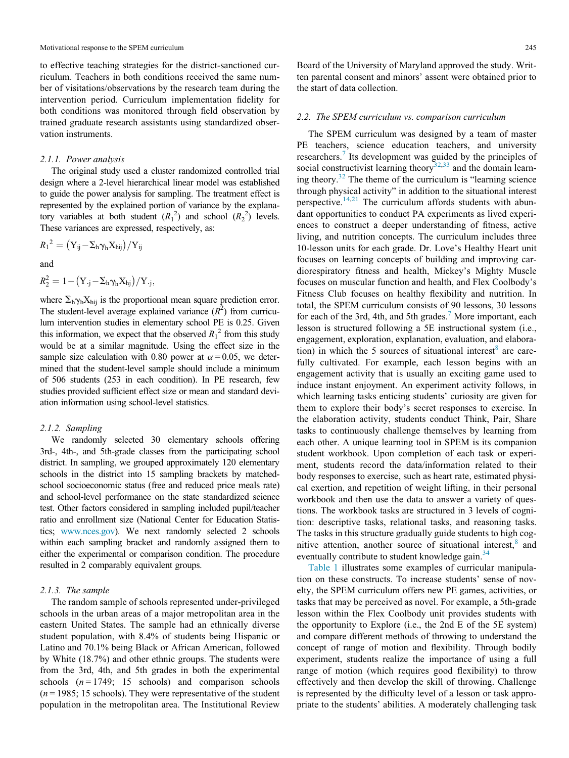to effective teaching strategies for the district-sanctioned curriculum. Teachers in both conditions received the same number of visitations/observations by the research team during the intervention period. Curriculum implementation fidelity for both conditions was monitored through field observation by trained graduate research assistants using standardized observation instruments.

#### 2.1.1. Power analysis

The original study used a cluster randomized controlled trial design where a 2-level hierarchical linear model was established to guide the power analysis for sampling. The treatment effect is represented by the explained portion of variance by the explanatory variables at both student  $(R_1^2)$  and school  $(R_2^2)$  levels. These variances are expressed, respectively, as:

$$
{R_1}^2 = (Y_{ij} - \Sigma_h \gamma_h X_{hij})/Y_{ij}
$$

and

$$
R_2^2 = 1 - (Y_{\cdot j} - \Sigma_h \gamma_h X_{hj})/Y_{\cdot j},
$$

where  $\Sigma_h \gamma_h X_{hij}$  is the proportional mean square prediction error. The student-level average explained variance  $(R^2)$  from curriculum intervention studies in elementary school PE is 0.25. Given this information, we expect that the observed  $R_1^2$  from this study would be at a similar magnitude. Using the effect size in the sample size calculation with 0.80 power at  $\alpha = 0.05$ , we determined that the student-level sample should include a minimum of 506 students (253 in each condition). In PE research, few studies provided sufficient effect size or mean and standard deviation information using school-level statistics.

#### 2.1.2. Sampling

We randomly selected 30 elementary schools offering 3rd-, 4th-, and 5th-grade classes from the participating school district. In sampling, we grouped approximately 120 elementary schools in the district into 15 sampling brackets by matchedschool socioeconomic status (free and reduced price meals rate) and school-level performance on the state standardized science test. Other factors considered in sampling included pupil/teacher ratio and enrollment size (National Center for Education Statistics; [www.nces.gov](http://www.nces.gov)). We next randomly selected 2 schools within each sampling bracket and randomly assigned them to either the experimental or comparison condition. The procedure resulted in 2 comparably equivalent groups.

#### 2.1.3. The sample

The random sample of schools represented under-privileged schools in the urban areas of a major metropolitan area in the eastern United States. The sample had an ethnically diverse student population, with 8.4% of students being Hispanic or Latino and 70.1% being Black or African American, followed by White (18.7%) and other ethnic groups. The students were from the 3rd, 4th, and 5th grades in both the experimental schools  $(n = 1749; 15$  schools) and comparison schools  $(n = 1985; 15$  schools). They were representative of the student population in the metropolitan area. The Institutional Review

Board of the University of Maryland approved the study. Written parental consent and minors' assent were obtained prior to the start of data collection.

#### 2.2. The SPEM curriculum vs. comparison curriculum

The SPEM curriculum was designed by a team of master PE teachers, science education teachers, and university researchers.<sup>[7](#page-8-9)</sup> Its development was guided by the principles of social constructivist learning theory<sup>[32,](#page-9-15)[33](#page-9-16)</sup> and the domain learn-ing theory.<sup>[32](#page-9-15)</sup> The theme of the curriculum is "learning science" through physical activity" in addition to the situational interest perspective.<sup>[14](#page-9-3)[,21](#page-9-10)</sup> The curriculum affords students with abundant opportunities to conduct PA experiments as lived experiences to construct a deeper understanding of fitness, active living, and nutrition concepts. The curriculum includes three 10-lesson units for each grade. Dr. Love's Healthy Heart unit focuses on learning concepts of building and improving cardiorespiratory fitness and health, Mickey's Mighty Muscle focuses on muscular function and health, and Flex Coolbody's Fitness Club focuses on healthy flexibility and nutrition. In total, the SPEM curriculum consists of 90 lessons, 30 lessons for each of the 3rd, 4th, and 5th grades.<sup>[7](#page-8-9)</sup> More important, each lesson is structured following a 5E instructional system (i.e., engagement, exploration, explanation, evaluation, and elabora-tion) in which the 5 sources of situational interest<sup>[8](#page-8-8)</sup> are carefully cultivated. For example, each lesson begins with an engagement activity that is usually an exciting game used to induce instant enjoyment. An experiment activity follows, in which learning tasks enticing students' curiosity are given for them to explore their body's secret responses to exercise. In the elaboration activity, students conduct Think, Pair, Share tasks to continuously challenge themselves by learning from each other. A unique learning tool in SPEM is its companion student workbook. Upon completion of each task or experiment, students record the data/information related to their body responses to exercise, such as heart rate, estimated physical exertion, and repetition of weight lifting, in their personal workbook and then use the data to answer a variety of questions. The workbook tasks are structured in 3 levels of cognition: descriptive tasks, relational tasks, and reasoning tasks. The tasks in this structure gradually guide students to high cog-nitive attention, another source of situational interest,<sup>[8](#page-8-8)</sup> and eventually contribute to student knowledge gain.<sup>[34](#page-9-17)</sup>

[Table 1](#page-4-0) illustrates some examples of curricular manipulation on these constructs. To increase students' sense of novelty, the SPEM curriculum offers new PE games, activities, or tasks that may be perceived as novel. For example, a 5th-grade lesson within the Flex Coolbody unit provides students with the opportunity to Explore (i.e., the 2nd E of the 5E system) and compare different methods of throwing to understand the concept of range of motion and flexibility. Through bodily experiment, students realize the importance of using a full range of motion (which requires good flexibility) to throw effectively and then develop the skill of throwing. Challenge is represented by the difficulty level of a lesson or task appropriate to the students' abilities. A moderately challenging task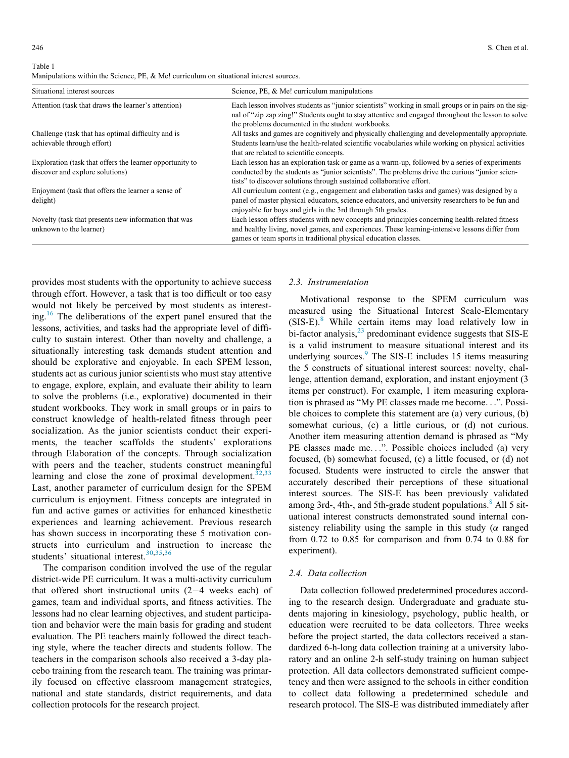<span id="page-4-0"></span>Table 1 Manipulations within the Science, PE, & Me! curriculum on situational interest sources.

| Situational interest sources                                                                | Science, PE, & Me! curriculum manipulations                                                                                                                                                                                                                              |  |  |
|---------------------------------------------------------------------------------------------|--------------------------------------------------------------------------------------------------------------------------------------------------------------------------------------------------------------------------------------------------------------------------|--|--|
| Attention (task that draws the learner's attention)                                         | Each lesson involves students as "junior scientists" working in small groups or in pairs on the sig-<br>nal of "zip zap zing!" Students ought to stay attentive and engaged throughout the lesson to solve<br>the problems documented in the student workbooks.          |  |  |
| Challenge (task that has optimal difficulty and is<br>achievable through effort)            | All tasks and games are cognitively and physically challenging and developmentally appropriate.<br>Students learn/use the health-related scientific vocabularies while working on physical activities<br>that are related to scientific concepts.                        |  |  |
| Exploration (task that offers the learner opportunity to<br>discover and explore solutions) | Each lesson has an exploration task or game as a warm-up, followed by a series of experiments<br>conducted by the students as "junior scientists". The problems drive the curious "junior scien-<br>tists" to discover solutions through sustained collaborative effort. |  |  |
| Enjoyment (task that offers the learner a sense of<br>delight)                              | All curriculum content (e.g., engagement and elaboration tasks and games) was designed by a<br>panel of master physical educators, science educators, and university researchers to be fun and<br>enjoyable for boys and girls in the 3rd through 5th grades.            |  |  |
| Novelty (task that presents new information that was<br>unknown to the learner)             | Each lesson offers students with new concepts and principles concerning health-related fitness<br>and healthy living, novel games, and experiences. These learning-intensive lessons differ from<br>games or team sports in traditional physical education classes.      |  |  |

provides most students with the opportunity to achieve success through effort. However, a task that is too difficult or too easy would not likely be perceived by most students as interesting.[16](#page-9-5) The deliberations of the expert panel ensured that the lessons, activities, and tasks had the appropriate level of difficulty to sustain interest. Other than novelty and challenge, a situationally interesting task demands student attention and should be explorative and enjoyable. In each SPEM lesson, students act as curious junior scientists who must stay attentive to engage, explore, explain, and evaluate their ability to learn to solve the problems (i.e., explorative) documented in their student workbooks. They work in small groups or in pairs to construct knowledge of health-related fitness through peer socialization. As the junior scientists conduct their experiments, the teacher scaffolds the students' explorations through Elaboration of the concepts. Through socialization with peers and the teacher, students construct meaningful learning and close the zone of proximal development.  $32,33$  $32,33$ Last, another parameter of curriculum design for the SPEM curriculum is enjoyment. Fitness concepts are integrated in fun and active games or activities for enhanced kinesthetic experiences and learning achievement. Previous research has shown success in incorporating these 5 motivation constructs into curriculum and instruction to increase the students' situational interest.<sup>[30](#page-9-13)[,35](#page-9-18)[,36](#page-9-19)</sup>

The comparison condition involved the use of the regular district-wide PE curriculum. It was a multi-activity curriculum that offered short instructional units  $(2-4$  weeks each) of games, team and individual sports, and fitness activities. The lessons had no clear learning objectives, and student participation and behavior were the main basis for grading and student evaluation. The PE teachers mainly followed the direct teaching style, where the teacher directs and students follow. The teachers in the comparison schools also received a 3-day placebo training from the research team. The training was primarily focused on effective classroom management strategies, national and state standards, district requirements, and data collection protocols for the research project.

#### 2.3. Instrumentation

Motivational response to the SPEM curriculum was measured using the Situational Interest Scale-Elementary (SIS-E).[8](#page-8-8) While certain items may load relatively low in bi-factor analysis, $^{23}$  $^{23}$  $^{23}$  predominant evidence suggests that SIS-E is a valid instrument to measure situational interest and its underlying sources.<sup>[9](#page-8-6)</sup> The SIS-E includes 15 items measuring the 5 constructs of situational interest sources: novelty, challenge, attention demand, exploration, and instant enjoyment (3 items per construct). For example, 1 item measuring exploration is phrased as "My PE classes made me become...". Possible choices to complete this statement are (a) very curious, (b) somewhat curious, (c) a little curious, or (d) not curious. Another item measuring attention demand is phrased as "My PE classes made me...". Possible choices included (a) very focused, (b) somewhat focused, (c) a little focused, or (d) not focused. Students were instructed to circle the answer that accurately described their perceptions of these situational interest sources. The SIS-E has been previously validated among 3rd-, 4th-, and 5th-grade student populations.<sup>[8](#page-8-8)</sup> All 5 situational interest constructs demonstrated sound internal consistency reliability using the sample in this study ( $\alpha$  ranged from 0.72 to 0.85 for comparison and from 0.74 to 0.88 for experiment).

#### 2.4. Data collection

Data collection followed predetermined procedures according to the research design. Undergraduate and graduate students majoring in kinesiology, psychology, public health, or education were recruited to be data collectors. Three weeks before the project started, the data collectors received a standardized 6-h-long data collection training at a university laboratory and an online 2-h self-study training on human subject protection. All data collectors demonstrated sufficient competency and then were assigned to the schools in either condition to collect data following a predetermined schedule and research protocol. The SIS-E was distributed immediately after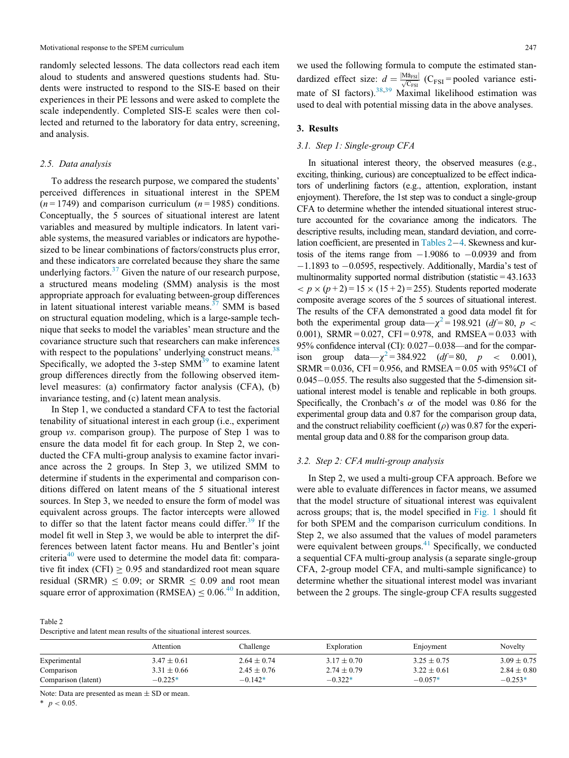randomly selected lessons. The data collectors read each item aloud to students and answered questions students had. Students were instructed to respond to the SIS-E based on their experiences in their PE lessons and were asked to complete the scale independently. Completed SIS-E scales were then collected and returned to the laboratory for data entry, screening, and analysis.

#### 2.5. Data analysis

To address the research purpose, we compared the students' perceived differences in situational interest in the SPEM  $(n = 1749)$  and comparison curriculum  $(n = 1985)$  conditions. Conceptually, the 5 sources of situational interest are latent variables and measured by multiple indicators. In latent variable systems, the measured variables or indicators are hypothesized to be linear combinations of factors/constructs plus error, and these indicators are correlated because they share the same underlying factors.<sup>[37](#page-9-21)</sup> Given the nature of our research purpose, a structured means modeling (SMM) analysis is the most appropriate approach for evaluating between-group differences in latent situational interest variable means.<sup>[37](#page-9-21)</sup> SMM is based on structural equation modeling, which is a large-sample technique that seeks to model the variables' mean structure and the covariance structure such that researchers can make inferences with respect to the populations' underlying construct means.<sup>[38](#page-9-22)</sup> Specifically, we adopted the  $3$ -step SMM $<sup>39</sup>$  $<sup>39</sup>$  $<sup>39</sup>$  to examine latent</sup> group differences directly from the following observed itemlevel measures: (a) confirmatory factor analysis (CFA), (b) invariance testing, and (c) latent mean analysis.

In Step 1, we conducted a standard CFA to test the factorial tenability of situational interest in each group (i.e., experiment group vs. comparison group). The purpose of Step 1 was to ensure the data model fit for each group. In Step 2, we conducted the CFA multi-group analysis to examine factor invariance across the 2 groups. In Step 3, we utilized SMM to determine if students in the experimental and comparison conditions differed on latent means of the 5 situational interest sources. In Step 3, we needed to ensure the form of model was equivalent across groups. The factor intercepts were allowed to differ so that the latent factor means could differ.<sup>39</sup> If the model fit well in Step 3, we would be able to interpret the differences between latent factor means. Hu and Bentler's joint criteria $40$  were used to determine the model data fit: comparative fit index (CFI)  $\geq 0.95$  and standardized root mean square residual (SRMR)  $\leq 0.09$ ; or SRMR  $\leq 0.09$  and root mean square error of approximation (RMSEA)  $\leq 0.06^{40}$  $\leq 0.06^{40}$  $\leq 0.06^{40}$  In addition,

<span id="page-5-0"></span>Table 2 Descriptive and latent mean results of the situational interest sources. we used the following formula to compute the estimated standardized effect size:  $d = \frac{|\text{Mårsi}|}{\sqrt{\text{C}_{FSI}}}$  (C<sub>FSI</sub> = pooled variance esti-mate of SI factors).<sup>[38](#page-9-22),[39](#page-9-23)</sup> Maximal likelihood estimation was used to deal with potential missing data in the above analyses.

#### 3. Results

#### 3.1. Step 1: Single-group CFA

In situational interest theory, the observed measures (e.g., exciting, thinking, curious) are conceptualized to be effect indicators of underlining factors (e.g., attention, exploration, instant enjoyment). Therefore, the 1st step was to conduct a single-group CFA to determine whether the intended situational interest structure accounted for the covariance among the indicators. The descriptive results, including mean, standard deviation, and correlation coefficient, are presented in Tables  $2-4$ . Skewness and kurtosis of the items range from  $-1.9086$  to  $-0.0939$  and from  $-1.1893$  to  $-0.0595$ , respectively. Additionally, Mardia's test of multinormality supported normal distribution (statistic  $=$  43.1633  $\langle p \times (p+2) = 15 \times (15+2) = 255$ . Students reported moderate composite average scores of the 5 sources of situational interest. The results of the CFA demonstrated a good data model fit for both the experimental group data— $\chi^2$  $\chi^2$  = 198.921 (*df* = 80, *p* < 0.001), SRMR =  $0.027$ , CFI = 0.978, and RMSEA = 0.033 with 95% confidence interval (CI): 0.027–0.038—and for the compar-<br>ison group data— $\chi^2$  = 384.922 (df = 80, p < 0.001). group data— $\chi^2$  $\chi^2$  = 384.922 (df = 80, p < 0.001),  $SRMR = 0.036$ , CFI = 0.956, and RMSEA = 0.05 with 95%CI of  $0.045-0.055$ . The results also suggested that the 5-dimension situational interest model is tenable and replicable in both groups. Specifically, the Cronbach's  $\alpha$  of the model was 0.86 for the experimental group data and 0.87 for the comparison group data, and the construct reliability coefficient ( $\rho$ ) was 0.87 for the experimental group data and 0.88 for the comparison group data.

#### 3.2. Step 2: CFA multi-group analysis

In Step 2, we used a multi-group CFA approach. Before we were able to evaluate differences in factor means, we assumed that the model structure of situational interest was equivalent across groups; that is, the model specified in [Fig. 1](#page-6-1) should fit for both SPEM and the comparison curriculum conditions. In Step 2, we also assumed that the values of model parameters were equivalent between groups. $41$  Specifically, we conducted a sequential CFA multi-group analysis (a separate single-group CFA, 2-group model CFA, and multi-sample significance) to determine whether the situational interest model was invariant between the 2 groups. The single-group CFA results suggested

|                     | Attention       | Challenge       | Exploration     | Enjoyment       | Novelty         |
|---------------------|-----------------|-----------------|-----------------|-----------------|-----------------|
| Experimental        | $3.47 \pm 0.61$ | $2.64 \pm 0.74$ | $3.17 \pm 0.70$ | $3.25 \pm 0.75$ | $3.09 \pm 0.75$ |
| Comparison          | $3.31 \pm 0.66$ | $2.45 \pm 0.76$ | $2.74 \pm 0.79$ | $3.22 \pm 0.61$ | $2.84 \pm 0.80$ |
| Comparison (latent) | $-0.225*$       | $-0.142*$       | $-0.322*$       | $-0.057*$       | $-0.253*$       |

Note: Data are presented as mean  $\pm$  SD or mean.

<span id="page-5-1"></span> $*$   $p < 0.05$ .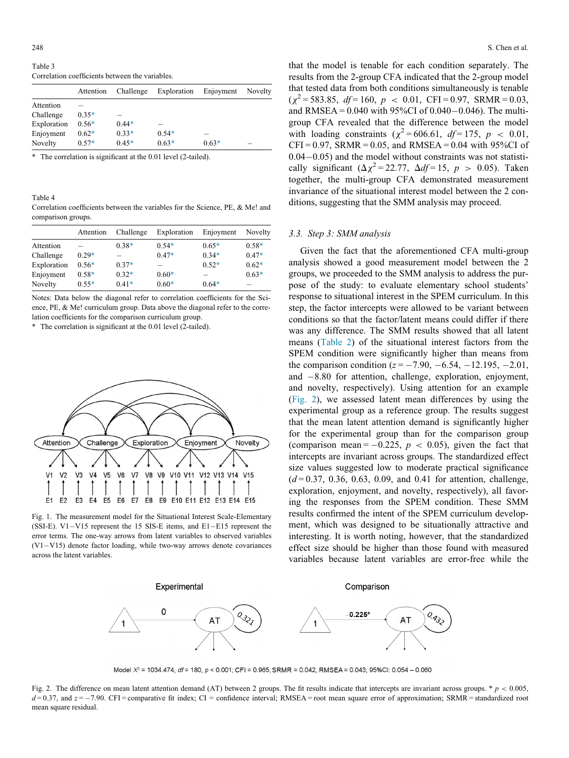Table 3 Correlation coefficients between the variables.

|             | Attention | Challenge | Exploration | Enjoyment | Novelty |
|-------------|-----------|-----------|-------------|-----------|---------|
| Attention   |           |           |             |           |         |
| Challenge   | $0.35*$   |           |             |           |         |
| Exploration | $0.56*$   | $0.44*$   |             |           |         |
| Enjoyment   | $0.62*$   | $0.33*$   | $0.54*$     |           |         |
| Novelty     | $0.57*$   | $0.45*$   | $0.63*$     | $0.63*$   |         |

<span id="page-6-3"></span>\* The correlation is significant at the 0.01 level (2-tailed).

<span id="page-6-0"></span>Table 4

Correlation coefficients between the variables for the Science, PE, & Me! and comparison groups.

|             | Attention | Challenge | Exploration | Enjoyment | Novelty |
|-------------|-----------|-----------|-------------|-----------|---------|
| Attention   |           | $0.38*$   | $0.54*$     | $0.65*$   | $0.58*$ |
| Challenge   | $0.29*$   |           | $0.47*$     | $0.34*$   | $0.47*$ |
| Exploration | $0.56*$   | $0.37*$   |             | $0.52*$   | $0.62*$ |
| Enjoyment   | $0.58*$   | $0.32*$   | $0.60*$     |           | $0.63*$ |
| Novelty     | $0.55*$   | $0.41*$   | $0.60*$     | $0.64*$   |         |

Notes: Data below the diagonal refer to correlation coefficients for the Science, PE, & Me! curriculum group. Data above the diagonal refer to the correlation coefficients for the comparison curriculum group.

<span id="page-6-4"></span>\* The correlation is significant at the 0.01 level (2-tailed).

<span id="page-6-1"></span>

<span id="page-6-2"></span>Fig. 1. The measurement model for the Situational Interest Scale-Elementary (SSI-E). V1-V15 represent the 15 SIS-E items, and E1-E15 represent the error terms. The one-way arrows from latent variables to observed variables  $(V1-V15)$  denote factor loading, while two-way arrows denote covariances across the latent variables.

that the model is tenable for each condition separately. The results from the 2-group CFA indicated that the 2-group model that tested data from both conditions simultaneously is tenable  $(\chi^2 = 583.85, df = 160, p < 0.01, CFI = 0.97, SRMR = 0.03,$ and RMSEA =  $0.040$  with 95%CI of  $0.040 - 0.046$ ). The multigroup CFA revealed that the difference between the model with loading constraints ( $\chi^2$  = 606.61, *df* = 175, *p* < 0.01,  $CFI = 0.97$ ,  $SRMR = 0.05$ , and  $RMSEA = 0.04$  with 95%CI of  $0.04-0.05$ ) and the model without constraints was not statistically significant  $(\Delta \chi^2 = 22.77, \Delta df = 15, p > 0.05)$ . Taken together, the multi-group CFA demonstrated measurement invariance of the situational interest model between the 2 conditions, suggesting that the SMM analysis may proceed.

#### 3.3. Step 3: SMM analysis

Given the fact that the aforementioned CFA multi-group analysis showed a good measurement model between the 2 groups, we proceeded to the SMM analysis to address the purpose of the study: to evaluate elementary school students' response to situational interest in the SPEM curriculum. In this step, the factor intercepts were allowed to be variant between conditions so that the factor/latent means could differ if there was any difference. The SMM results showed that all latent means ([Table 2](#page-5-0)) of the situational interest factors from the SPEM condition were significantly higher than means from the comparison condition ( $z = -7.90, -6.54, -12.195, -2.01$ , and  $-8.80$  for attention, challenge, exploration, enjoyment, and novelty, respectively). Using attention for an example ([Fig. 2](#page-6-2)), we assessed latent mean differences by using the experimental group as a reference group. The results suggest that the mean latent attention demand is significantly higher for the experimental group than for the comparison group (comparison mean =  $-0.225$ ,  $p < 0.05$ ), given the fact that intercepts are invariant across groups. The standardized effect size values suggested low to moderate practical significance  $(d = 0.37, 0.36, 0.63, 0.09,$  and 0.41 for attention, challenge, exploration, enjoyment, and novelty, respectively), all favoring the responses from the SPEM condition. These SMM results confirmed the intent of the SPEM curriculum development, which was designed to be situationally attractive and interesting. It is worth noting, however, that the standardized effect size should be higher than those found with measured variables because latent variables are error-free while the



Model X' = 1034.474, df= 180, p < 0.001; CFI = 0.965, SRMR = 0.042, RMSEA= 0.043; 95%CI: 0.054 - 0.060

Fig. 2. The difference on mean latent attention demand (AT) between 2 groups. The fit results indicate that intercepts are invariant across groups. \*  $p < 0.005$ ,  $d = 0.37$ , and  $z = -7.90$ . CFI = comparative fit index; CI = confidence interval; RMSEA = root mean square error of approximation; SRMR = standardized root mean square residual.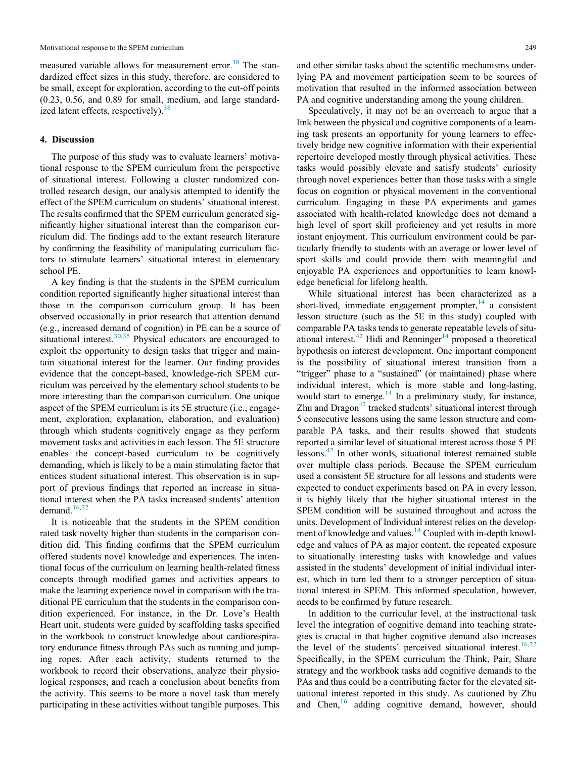measured variable allows for measurement error.<sup>[38](#page-9-22)</sup> The standardized effect sizes in this study, therefore, are considered to be small, except for exploration, according to the cut-off points (0.23, 0.56, and 0.89 for small, medium, and large standardized latent effects, respectively).  $38$ 

#### 4. Discussion

The purpose of this study was to evaluate learners' motivational response to the SPEM curriculum from the perspective of situational interest. Following a cluster randomized controlled research design, our analysis attempted to identify the effect of the SPEM curriculum on students' situational interest. The results confirmed that the SPEM curriculum generated significantly higher situational interest than the comparison curriculum did. The findings add to the extant research literature by confirming the feasibility of manipulating curriculum factors to stimulate learners' situational interest in elementary school PE.

A key finding is that the students in the SPEM curriculum condition reported significantly higher situational interest than those in the comparison curriculum group. It has been observed occasionally in prior research that attention demand (e.g., increased demand of cognition) in PE can be a source of situational interest. $30,35$  $30,35$  Physical educators are encouraged to exploit the opportunity to design tasks that trigger and maintain situational interest for the learner. Our finding provides evidence that the concept-based, knowledge-rich SPEM curriculum was perceived by the elementary school students to be more interesting than the comparison curriculum. One unique aspect of the SPEM curriculum is its 5E structure (i.e., engagement, exploration, explanation, elaboration, and evaluation) through which students cognitively engage as they perform movement tasks and activities in each lesson. The 5E structure enables the concept-based curriculum to be cognitively demanding, which is likely to be a main stimulating factor that entices student situational interest. This observation is in support of previous findings that reported an increase in situational interest when the PA tasks increased students' attention demand. $16,22$  $16,22$ 

It is noticeable that the students in the SPEM condition rated task novelty higher than students in the comparison condition did. This finding confirms that the SPEM curriculum offered students novel knowledge and experiences. The intentional focus of the curriculum on learning health-related fitness concepts through modified games and activities appears to make the learning experience novel in comparison with the traditional PE curriculum that the students in the comparison condition experienced. For instance, in the Dr. Love's Health Heart unit, students were guided by scaffolding tasks specified in the workbook to construct knowledge about cardiorespiratory endurance fitness through PAs such as running and jumping ropes. After each activity, students returned to the workbook to record their observations, analyze their physiological responses, and reach a conclusion about benefits from the activity. This seems to be more a novel task than merely participating in these activities without tangible purposes. This and other similar tasks about the scientific mechanisms underlying PA and movement participation seem to be sources of motivation that resulted in the informed association between PA and cognitive understanding among the young children.

Speculatively, it may not be an overreach to argue that a link between the physical and cognitive components of a learning task presents an opportunity for young learners to effectively bridge new cognitive information with their experiential repertoire developed mostly through physical activities. These tasks would possibly elevate and satisfy students' curiosity through novel experiences better than those tasks with a single focus on cognition or physical movement in the conventional curriculum. Engaging in these PA experiments and games associated with health-related knowledge does not demand a high level of sport skill proficiency and yet results in more instant enjoyment. This curriculum environment could be particularly friendly to students with an average or lower level of sport skills and could provide them with meaningful and enjoyable PA experiences and opportunities to learn knowledge beneficial for lifelong health.

While situational interest has been characterized as a short-lived, immediate engagement prompter, $^{14}$  a consistent lesson structure (such as the 5E in this study) coupled with comparable PA tasks tends to generate repeatable levels of situational interest. $42$  Hidi and Renninger<sup>[14](#page-9-3)</sup> proposed a theoretical hypothesis on interest development. One important component is the possibility of situational interest transition from a "trigger" phase to a "sustained" (or maintained) phase where individual interest, which is more stable and long-lasting, would start to emerge. $14$  In a preliminary study, for instance, Zhu and Dragon<sup> $42$ </sup> tracked students' situational interest through 5 consecutive lessons using the same lesson structure and comparable PA tasks, and their results showed that students reported a similar level of situational interest across those 5 PE lessons.[42](#page-9-27) In other words, situational interest remained stable over multiple class periods. Because the SPEM curriculum used a consistent 5E structure for all lessons and students were expected to conduct experiments based on PA in every lesson, it is highly likely that the higher situational interest in the SPEM condition will be sustained throughout and across the units. Development of Individual interest relies on the development of knowledge and values.<sup>14</sup> Coupled with in-depth knowledge and values of PA as major content, the repeated exposure to situationally interesting tasks with knowledge and values assisted in the students' development of initial individual interest, which in turn led them to a stronger perception of situational interest in SPEM. This informed speculation, however, needs to be confirmed by future research.

In addition to the curricular level, at the instructional task level the integration of cognitive demand into teaching strategies is crucial in that higher cognitive demand also increases the level of the students' perceived situational interest.<sup>16,[22](#page-9-26)</sup> Specifically, in the SPEM curriculum the Think, Pair, Share strategy and the workbook tasks add cognitive demands to the PAs and thus could be a contributing factor for the elevated situational interest reported in this study. As cautioned by Zhu and Chen,<sup>[16](#page-9-5)</sup> adding cognitive demand, however, should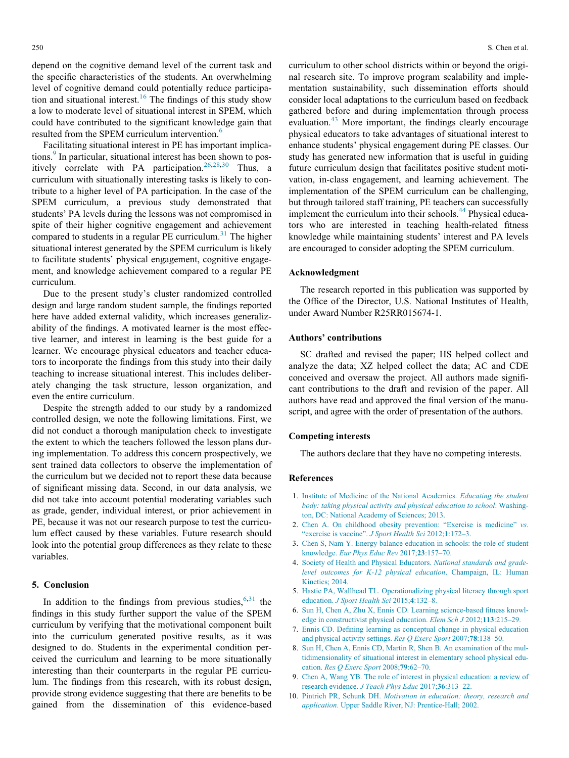depend on the cognitive demand level of the current task and the specific characteristics of the students. An overwhelming level of cognitive demand could potentially reduce participa-tion and situational interest.<sup>[16](#page-9-5)</sup> The findings of this study show a low to moderate level of situational interest in SPEM, which could have contributed to the significant knowledge gain that resulted from the SPEM curriculum intervention.<sup>[6](#page-8-5)</sup>

Facilitating situational interest in PE has important implications.<sup>9</sup> In particular, situational interest has been shown to pos-itively correlate with PA participation.<sup>[26,](#page-9-11)[28](#page-9-28)[,30](#page-9-13)</sup> Thus, a curriculum with situationally interesting tasks is likely to contribute to a higher level of PA participation. In the case of the SPEM curriculum, a previous study demonstrated that students' PA levels during the lessons was not compromised in spite of their higher cognitive engagement and achievement compared to students in a regular  $PE$  curriculum.<sup>[31](#page-9-14)</sup> The higher situational interest generated by the SPEM curriculum is likely to facilitate students' physical engagement, cognitive engagement, and knowledge achievement compared to a regular PE curriculum.

Due to the present study's cluster randomized controlled design and large random student sample, the findings reported here have added external validity, which increases generalizability of the findings. A motivated learner is the most effective learner, and interest in learning is the best guide for a learner. We encourage physical educators and teacher educators to incorporate the findings from this study into their daily teaching to increase situational interest. This includes deliberately changing the task structure, lesson organization, and even the entire curriculum.

<span id="page-8-0"></span>Despite the strength added to our study by a randomized controlled design, we note the following limitations. First, we did not conduct a thorough manipulation check to investigate the extent to which the teachers followed the lesson plans during implementation. To address this concern prospectively, we sent trained data collectors to observe the implementation of the curriculum but we decided not to report these data because of significant missing data. Second, in our data analysis, we did not take into account potential moderating variables such as grade, gender, individual interest, or prior achievement in PE, because it was not our research purpose to test the curriculum effect caused by these variables. Future research should look into the potential group differences as they relate to these variables.

#### <span id="page-8-4"></span><span id="page-8-3"></span><span id="page-8-2"></span><span id="page-8-1"></span>5. Conclusion

<span id="page-8-9"></span><span id="page-8-8"></span><span id="page-8-7"></span><span id="page-8-6"></span><span id="page-8-5"></span>In addition to the findings from previous studies,  $6,31$  $6,31$  the findings in this study further support the value of the SPEM curriculum by verifying that the motivational component built into the curriculum generated positive results, as it was designed to do. Students in the experimental condition perceived the curriculum and learning to be more situationally interesting than their counterparts in the regular PE curriculum. The findings from this research, with its robust design, provide strong evidence suggesting that there are benefits to be gained from the dissemination of this evidence-based curriculum to other school districts within or beyond the original research site. To improve program scalability and implementation sustainability, such dissemination efforts should consider local adaptations to the curriculum based on feedback gathered before and during implementation through process evaluation.<sup>[43](#page-9-29)</sup> More important, the findings clearly encourage physical educators to take advantages of situational interest to enhance students' physical engagement during PE classes. Our study has generated new information that is useful in guiding future curriculum design that facilitates positive student motivation, in-class engagement, and learning achievement. The implementation of the SPEM curriculum can be challenging, but through tailored staff training, PE teachers can successfully implement the curriculum into their schools.<sup>[44](#page-9-30)</sup> Physical educators who are interested in teaching health-related fitness knowledge while maintaining students' interest and PA levels are encouraged to consider adopting the SPEM curriculum.

#### Acknowledgment

The research reported in this publication was supported by the Office of the Director, U.S. National Institutes of Health, under Award Number R25RR015674-1.

#### Authors' contributions

SC drafted and revised the paper; HS helped collect and analyze the data; XZ helped collect the data; AC and CDE conceived and oversaw the project. All authors made significant contributions to the draft and revision of the paper. All authors have read and approved the final version of the manuscript, and agree with the order of presentation of the authors.

#### Competing interests

The authors declare that they have no competing interests.

#### References

- 1. [Institute of Medicine of the National Academies.](http://refhub.elsevier.com/S2095-2546(19)30144-9/sbref0001) Educating the student [body: taking physical activity and physical education to school](http://refhub.elsevier.com/S2095-2546(19)30144-9/sbref0001). Washing[ton, DC: National Academy of Sciences; 2013.](http://refhub.elsevier.com/S2095-2546(19)30144-9/sbref0001)
- 2. [Chen A. On childhood obesity prevention:](http://refhub.elsevier.com/S2095-2546(19)30144-9/sbref0002) "[Exercise is medicine"](http://refhub.elsevier.com/S2095-2546(19)30144-9/sbref0002) [vs](http://refhub.elsevier.com/S2095-2546(19)30144-9/sbref0002). "[exercise is vaccine"](http://refhub.elsevier.com/S2095-2546(19)30144-9/sbref0002). [J Sport Health Sci](http://refhub.elsevier.com/S2095-2546(19)30144-9/sbref0002) 2012;1:172–3.
- 3. [Chen S, Nam Y. Energy balance education in schools: the role of student](http://refhub.elsevier.com/S2095-2546(19)30144-9/sbref0003) knowledge. [Eur Phys Educ Rev](http://refhub.elsevier.com/S2095-2546(19)30144-9/sbref0003) 2017;23:157–70.
- 4. [Society of Health and Physical Educators.](http://refhub.elsevier.com/S2095-2546(19)30144-9/sbref0004) National standards and grade[level outcomes for K-12 physical education](http://refhub.elsevier.com/S2095-2546(19)30144-9/sbref0004). Champaign, IL: Human [Kinetics; 2014.](http://refhub.elsevier.com/S2095-2546(19)30144-9/sbref0004)
- 5. [Hastie PA, Wallhead TL. Operationalizing physical literacy through sport](http://refhub.elsevier.com/S2095-2546(19)30144-9/sbref0005) education. [J Sport Health Sci](http://refhub.elsevier.com/S2095-2546(19)30144-9/sbref0005) 2015;4:132–8.
- 6. [Sun H, Chen A, Zhu X, Ennis CD. Learning science-based fitness knowl](http://refhub.elsevier.com/S2095-2546(19)30144-9/sbref0006)[edge in constructivist physical education.](http://refhub.elsevier.com/S2095-2546(19)30144-9/sbref0006) Elem Sch J 2012;113:215–29.
- 7. [Ennis CD. Defining learning as conceptual change in physical education](http://refhub.elsevier.com/S2095-2546(19)30144-9/sbref0007) [and physical activity settings.](http://refhub.elsevier.com/S2095-2546(19)30144-9/sbref0007) Res Q Exerc Sport 2007;78:138–50.
- 8. [Sun H, Chen A, Ennis CD, Martin R, Shen B. An examination of the mul](http://refhub.elsevier.com/S2095-2546(19)30144-9/sbref0008)[tidimensionality of situational interest in elementary school physical edu](http://refhub.elsevier.com/S2095-2546(19)30144-9/sbref0008)cation. [Res Q Exerc Sport](http://refhub.elsevier.com/S2095-2546(19)30144-9/sbref0008) 2008;79:62–70.
- 9. [Chen A, Wang YB. The role of interest in physical education: a review of](http://refhub.elsevier.com/S2095-2546(19)30144-9/sbref0009) research evidence. [J Teach Phys Educ](http://refhub.elsevier.com/S2095-2546(19)30144-9/sbref0009) 2017;36:313–22.
- 10. Pintrich PR, Schunk DH. [Motivation in education: theory, research and](http://refhub.elsevier.com/S2095-2546(19)30144-9/sbref0010) application[. Upper Saddle River, NJ: Prentice-Hall; 2002.](http://refhub.elsevier.com/S2095-2546(19)30144-9/sbref0010)